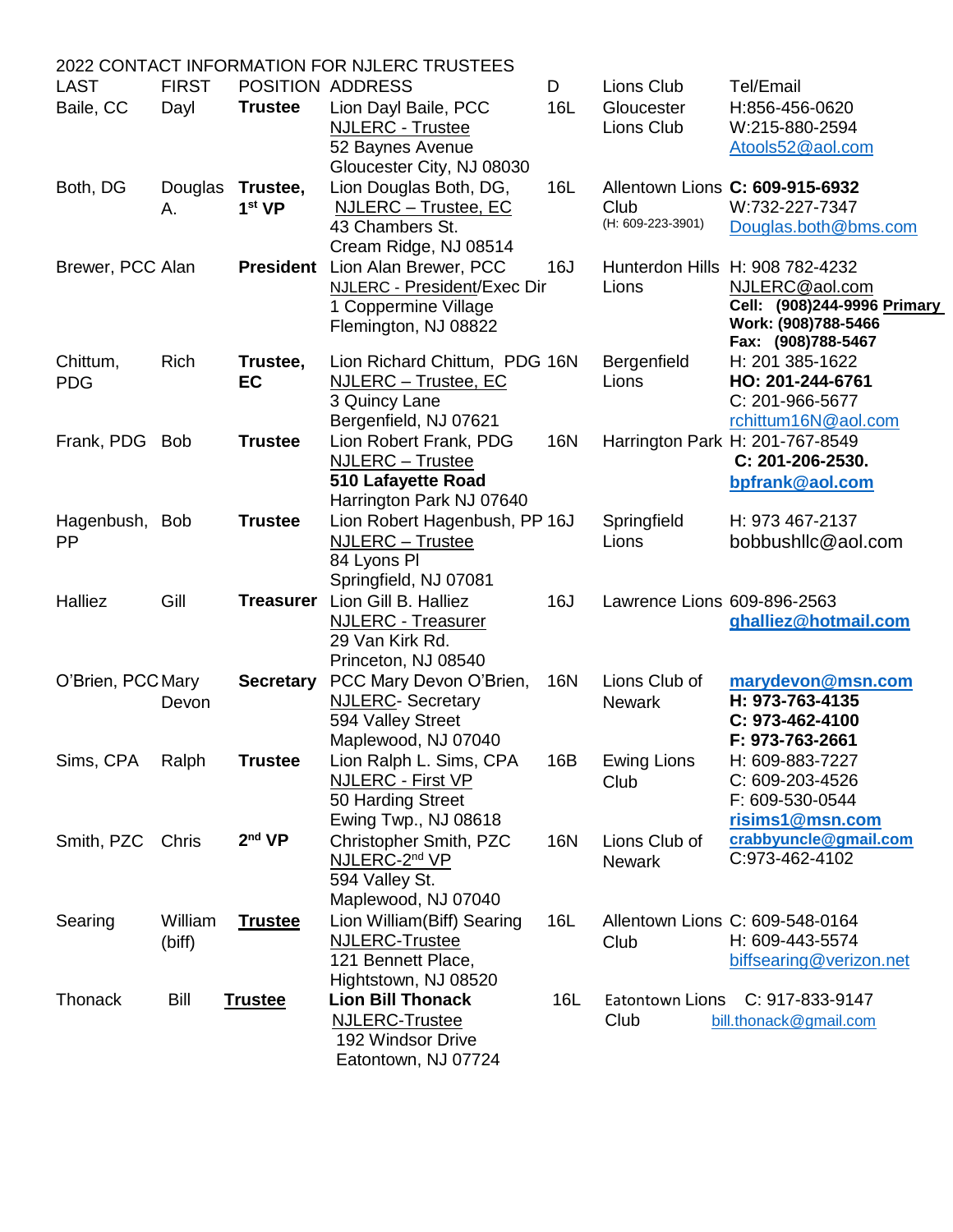|                   |              |                    | 2022 CONTACT INFORMATION FOR NJLERC TRUSTEES          |            |                             |                                                    |
|-------------------|--------------|--------------------|-------------------------------------------------------|------------|-----------------------------|----------------------------------------------------|
| <b>LAST</b>       | <b>FIRST</b> |                    | POSITION ADDRESS                                      | D          | Lions Club                  | Tel/Email                                          |
| Baile, CC         | Dayl         | <b>Trustee</b>     | Lion Dayl Baile, PCC                                  | 16L        | Gloucester                  | H:856-456-0620                                     |
|                   |              |                    | <b>NJLERC - Trustee</b>                               |            | Lions Club                  | W:215-880-2594                                     |
|                   |              |                    | 52 Baynes Avenue                                      |            |                             | Atools52@aol.com                                   |
|                   |              |                    | Gloucester City, NJ 08030                             |            |                             |                                                    |
| Both, DG          | Douglas      | Trustee,           | Lion Douglas Both, DG,                                | 16L        |                             | Allentown Lions C: 609-915-6932                    |
|                   | Α.           | 1 <sup>st</sup> VP | NJLERC - Trustee, EC                                  |            | Club                        | W:732-227-7347                                     |
|                   |              |                    | 43 Chambers St.                                       |            | (H: 609-223-3901)           | Douglas.both@bms.com                               |
|                   |              |                    | Cream Ridge, NJ 08514                                 |            |                             |                                                    |
| Brewer, PCC Alan  |              |                    | President Lion Alan Brewer, PCC                       | 16J        |                             | Hunterdon Hills H: 908 782-4232                    |
|                   |              |                    | NJLERC - President/Exec Dir                           |            | Lions                       | NJLERC@aol.com                                     |
|                   |              |                    | 1 Coppermine Village                                  |            |                             | Cell: (908)244-9996 Primary                        |
|                   |              |                    | Flemington, NJ 08822                                  |            |                             | Work: (908)788-5466                                |
|                   | Rich         |                    |                                                       |            |                             | Fax: (908)788-5467<br>H: 201 385-1622              |
| Chittum,          |              | Trustee,           | Lion Richard Chittum, PDG 16N<br>NJLERC - Trustee, EC |            | Bergenfield<br>Lions        | HO: 201-244-6761                                   |
| <b>PDG</b>        |              | EC                 | 3 Quincy Lane                                         |            |                             | C: 201-966-5677                                    |
|                   |              |                    | Bergenfield, NJ 07621                                 |            |                             | rchittum16N@aol.com                                |
| Frank, PDG Bob    |              | <b>Trustee</b>     | Lion Robert Frank, PDG                                | <b>16N</b> |                             | Harrington Park H: 201-767-8549                    |
|                   |              |                    | <b>NJLERC</b> - Trustee                               |            |                             | C: 201-206-2530.                                   |
|                   |              |                    | 510 Lafayette Road                                    |            |                             | bpfrank@aol.com                                    |
|                   |              |                    | Harrington Park NJ 07640                              |            |                             |                                                    |
| Hagenbush, Bob    |              | <b>Trustee</b>     | Lion Robert Hagenbush, PP 16J                         |            | Springfield                 | H: 973 467-2137                                    |
| PP                |              |                    | <b>NJLERC</b> - Trustee                               |            | Lions                       | bobbushllc@aol.com                                 |
|                   |              |                    | 84 Lyons PI                                           |            |                             |                                                    |
|                   |              |                    | Springfield, NJ 07081                                 |            |                             |                                                    |
| Halliez           | Gill         |                    | Treasurer Lion Gill B. Halliez                        | 16J        | Lawrence Lions 609-896-2563 |                                                    |
|                   |              |                    | <b>NJLERC - Treasurer</b>                             |            |                             | ghalliez@hotmail.com                               |
|                   |              |                    | 29 Van Kirk Rd.                                       |            |                             |                                                    |
|                   |              |                    | Princeton, NJ 08540                                   |            |                             |                                                    |
| O'Brien, PCC Mary |              | <b>Secretary</b>   | PCC Mary Devon O'Brien,                               | 16N        | Lions Club of               | marydevon@msn.com                                  |
|                   | Devon        |                    | <b>NJLERC- Secretary</b>                              |            | <b>Newark</b>               | H: 973-763-4135                                    |
|                   |              |                    | 594 Valley Street                                     |            |                             | C: 973-462-4100                                    |
|                   |              |                    | Maplewood, NJ 07040                                   |            |                             | F: 973-763-2661                                    |
| Sims, CPA         | Ralph        | Trustee            | Lion Ralph L. Sims, CPA                               | 16B        | <b>Ewing Lions</b>          | H: 609-883-7227                                    |
|                   |              |                    | <b>NJLERC - First VP</b>                              |            | Club                        | C: 609-203-4526                                    |
|                   |              |                    | 50 Harding Street                                     |            |                             | F: 609-530-0544                                    |
|                   |              |                    | Ewing Twp., NJ 08618                                  |            |                             | risims1@msn.com                                    |
| Smith, PZC        | Chris        | 2 <sup>nd</sup> VP | Christopher Smith, PZC                                | 16N        | Lions Club of               | crabbyuncle@gmail.com<br>C:973-462-4102            |
|                   |              |                    | NJLERC-2 <sup>nd</sup> VP                             |            | <b>Newark</b>               |                                                    |
|                   |              |                    | 594 Valley St.                                        |            |                             |                                                    |
|                   |              |                    | Maplewood, NJ 07040                                   |            |                             |                                                    |
| Searing           | William      | <b>Trustee</b>     | Lion William (Biff) Searing<br><b>NJLERC-Trustee</b>  | 16L        |                             | Allentown Lions C: 609-548-0164<br>H: 609-443-5574 |
|                   | (biff)       |                    | 121 Bennett Place,                                    |            | Club                        | biffsearing@verizon.net                            |
|                   |              |                    | Hightstown, NJ 08520                                  |            |                             |                                                    |
| Thonack           | Bill         | <b>Trustee</b>     | <b>Lion Bill Thonack</b>                              | 16L        | Eatontown Lions             | C: 917-833-9147                                    |
|                   |              |                    | <b>NJLERC-Trustee</b>                                 |            | Club                        | bill.thonack@gmail.com                             |
|                   |              |                    | 192 Windsor Drive                                     |            |                             |                                                    |
|                   |              |                    | Eatontown, NJ 07724                                   |            |                             |                                                    |
|                   |              |                    |                                                       |            |                             |                                                    |